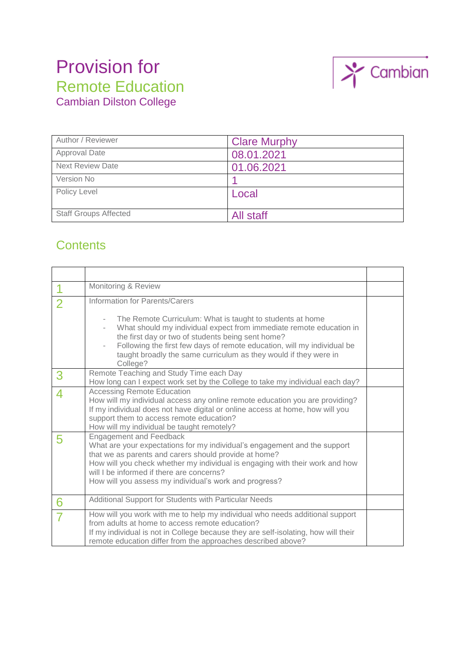# Provision for Remote Education Cambian Dilston College



| Author / Reviewer            | <b>Clare Murphy</b> |
|------------------------------|---------------------|
| <b>Approval Date</b>         | 08.01.2021          |
| <b>Next Review Date</b>      | 01.06.2021          |
| Version No                   |                     |
| Policy Level                 | Local               |
| <b>Staff Groups Affected</b> | All staff           |

## **Contents**

|                | Monitoring & Review                                                                                                                                                                                                                                                                                                                                                                |  |
|----------------|------------------------------------------------------------------------------------------------------------------------------------------------------------------------------------------------------------------------------------------------------------------------------------------------------------------------------------------------------------------------------------|--|
| $\overline{2}$ | Information for Parents/Carers<br>The Remote Curriculum: What is taught to students at home<br>What should my individual expect from immediate remote education in<br>the first day or two of students being sent home?<br>Following the first few days of remote education, will my individual be<br>taught broadly the same curriculum as they would if they were in<br>College? |  |
| 3              | Remote Teaching and Study Time each Day<br>How long can I expect work set by the College to take my individual each day?                                                                                                                                                                                                                                                           |  |
|                | <b>Accessing Remote Education</b><br>How will my individual access any online remote education you are providing?<br>If my individual does not have digital or online access at home, how will you<br>support them to access remote education?<br>How will my individual be taught remotely?                                                                                       |  |
| 5              | <b>Engagement and Feedback</b><br>What are your expectations for my individual's engagement and the support<br>that we as parents and carers should provide at home?<br>How will you check whether my individual is engaging with their work and how<br>will I be informed if there are concerns?<br>How will you assess my individual's work and progress?                        |  |
| 6              | Additional Support for Students with Particular Needs                                                                                                                                                                                                                                                                                                                              |  |
|                | How will you work with me to help my individual who needs additional support<br>from adults at home to access remote education?<br>If my individual is not in College because they are self-isolating, how will their<br>remote education differ from the approaches described above?                                                                                              |  |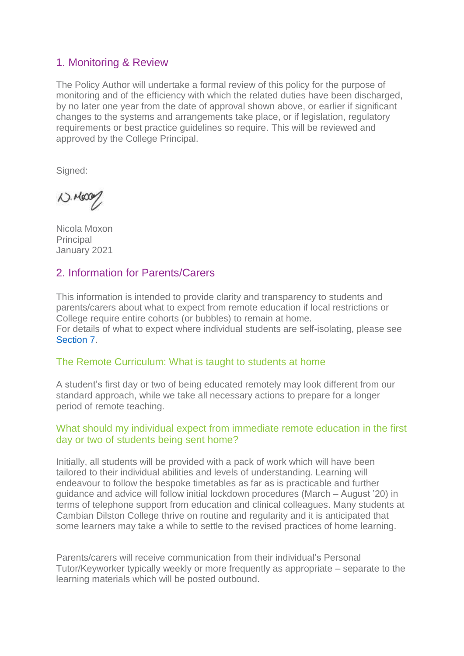## 1. Monitoring & Review

The Policy Author will undertake a formal review of this policy for the purpose of monitoring and of the efficiency with which the related duties have been discharged, by no later one year from the date of approval shown above, or earlier if significant changes to the systems and arrangements take place, or if legislation, regulatory requirements or best practice guidelines so require. This will be reviewed and approved by the College Principal.

Signed:

 $N.1600/$ 

Nicola Moxon **Principal** January 2021

## 2. Information for Parents/Carers

This information is intended to provide clarity and transparency to students and parents/carers about what to expect from remote education if local restrictions or College require entire cohorts (or bubbles) to remain at home. For details of what to expect where individual students are self-isolating, please see Section 7.

#### The Remote Curriculum: What is taught to students at home

A student's first day or two of being educated remotely may look different from our standard approach, while we take all necessary actions to prepare for a longer period of remote teaching.

#### What should my individual expect from immediate remote education in the first day or two of students being sent home?

Initially, all students will be provided with a pack of work which will have been tailored to their individual abilities and levels of understanding. Learning will endeavour to follow the bespoke timetables as far as is practicable and further guidance and advice will follow initial lockdown procedures (March – August '20) in terms of telephone support from education and clinical colleagues. Many students at Cambian Dilston College thrive on routine and regularity and it is anticipated that some learners may take a while to settle to the revised practices of home learning.

Parents/carers will receive communication from their individual's Personal Tutor/Keyworker typically weekly or more frequently as appropriate – separate to the learning materials which will be posted outbound.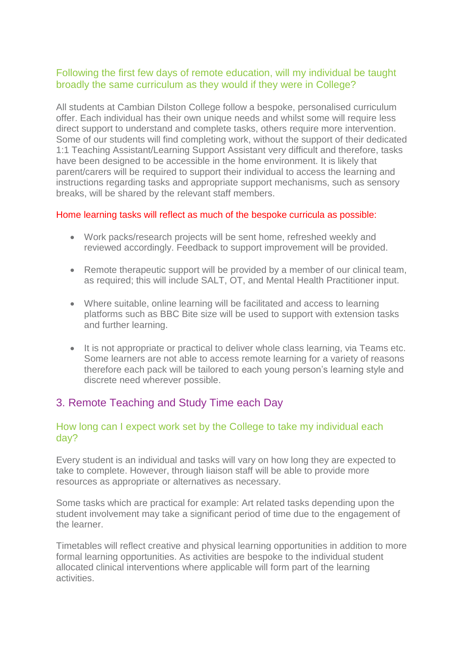#### Following the first few days of remote education, will my individual be taught broadly the same curriculum as they would if they were in College?

All students at Cambian Dilston College follow a bespoke, personalised curriculum offer. Each individual has their own unique needs and whilst some will require less direct support to understand and complete tasks, others require more intervention. Some of our students will find completing work, without the support of their dedicated 1:1 Teaching Assistant/Learning Support Assistant very difficult and therefore, tasks have been designed to be accessible in the home environment. It is likely that parent/carers will be required to support their individual to access the learning and instructions regarding tasks and appropriate support mechanisms, such as sensory breaks, will be shared by the relevant staff members.

#### Home learning tasks will reflect as much of the bespoke curricula as possible:

- Work packs/research projects will be sent home, refreshed weekly and reviewed accordingly. Feedback to support improvement will be provided.
- Remote therapeutic support will be provided by a member of our clinical team, as required; this will include SALT, OT, and Mental Health Practitioner input.
- Where suitable, online learning will be facilitated and access to learning platforms such as BBC Bite size will be used to support with extension tasks and further learning.
- It is not appropriate or practical to deliver whole class learning, via Teams etc. Some learners are not able to access remote learning for a variety of reasons therefore each pack will be tailored to each young person's learning style and discrete need wherever possible.

## 3. Remote Teaching and Study Time each Day

#### How long can I expect work set by the College to take my individual each day?

Every student is an individual and tasks will vary on how long they are expected to take to complete. However, through liaison staff will be able to provide more resources as appropriate or alternatives as necessary.

Some tasks which are practical for example: Art related tasks depending upon the student involvement may take a significant period of time due to the engagement of the learner.

Timetables will reflect creative and physical learning opportunities in addition to more formal learning opportunities. As activities are bespoke to the individual student allocated clinical interventions where applicable will form part of the learning activities.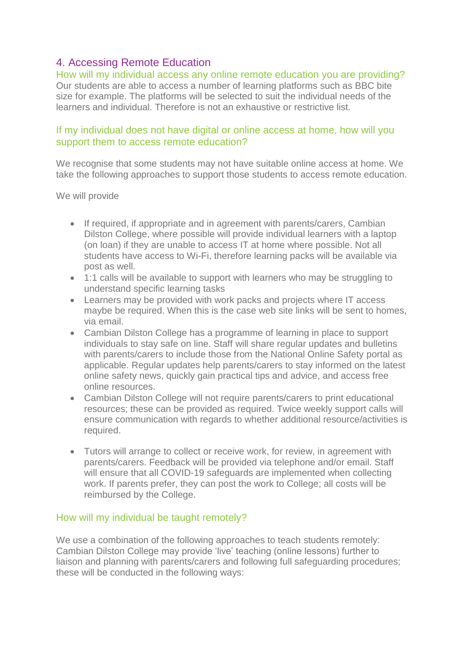## 4. Accessing Remote Education

How will my individual access any online remote education you are providing? Our students are able to access a number of learning platforms such as BBC bite size for example. The platforms will be selected to suit the individual needs of the learners and individual. Therefore is not an exhaustive or restrictive list.

#### If my individual does not have digital or online access at home, how will you support them to access remote education?

We recognise that some students may not have suitable online access at home. We take the following approaches to support those students to access remote education.

#### We will provide

- If required, if appropriate and in agreement with parents/carers, Cambian Dilston College, where possible will provide individual learners with a laptop (on loan) if they are unable to access IT at home where possible. Not all students have access to Wi-Fi, therefore learning packs will be available via post as well.
- 1:1 calls will be available to support with learners who may be struggling to understand specific learning tasks
- Learners may be provided with work packs and projects where IT access maybe be required. When this is the case web site links will be sent to homes, via email.
- Cambian Dilston College has a programme of learning in place to support individuals to stay safe on line. Staff will share regular updates and bulletins with parents/carers to include those from the National Online Safety portal as applicable. Regular updates help parents/carers to stay informed on the latest online safety news, quickly gain practical tips and advice, and access free online resources.
- Cambian Dilston College will not require parents/carers to print educational resources; these can be provided as required. Twice weekly support calls will ensure communication with regards to whether additional resource/activities is required.
- Tutors will arrange to collect or receive work, for review, in agreement with parents/carers. Feedback will be provided via telephone and/or email. Staff will ensure that all COVID-19 safeguards are implemented when collecting work. If parents prefer, they can post the work to College; all costs will be reimbursed by the College.

#### How will my individual be taught remotely?

We use a combination of the following approaches to teach students remotely: Cambian Dilston College may provide 'live' teaching (online lessons) further to liaison and planning with parents/carers and following full safeguarding procedures; these will be conducted in the following ways: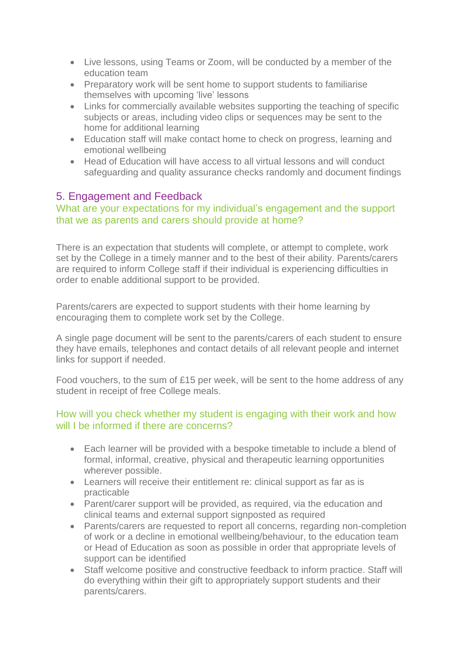- Live lessons, using Teams or Zoom, will be conducted by a member of the education team
- Preparatory work will be sent home to support students to familiarise themselves with upcoming 'live' lessons
- Links for commercially available websites supporting the teaching of specific subjects or areas, including video clips or sequences may be sent to the home for additional learning
- Education staff will make contact home to check on progress, learning and emotional wellbeing
- Head of Education will have access to all virtual lessons and will conduct safeguarding and quality assurance checks randomly and document findings

### 5. Engagement and Feedback

#### What are your expectations for my individual's engagement and the support that we as parents and carers should provide at home?

There is an expectation that students will complete, or attempt to complete, work set by the College in a timely manner and to the best of their ability. Parents/carers are required to inform College staff if their individual is experiencing difficulties in order to enable additional support to be provided.

Parents/carers are expected to support students with their home learning by encouraging them to complete work set by the College.

A single page document will be sent to the parents/carers of each student to ensure they have emails, telephones and contact details of all relevant people and internet links for support if needed.

Food vouchers, to the sum of £15 per week, will be sent to the home address of any student in receipt of free College meals.

#### How will you check whether my student is engaging with their work and how will I be informed if there are concerns?

- Each learner will be provided with a bespoke timetable to include a blend of formal, informal, creative, physical and therapeutic learning opportunities wherever possible.
- Learners will receive their entitlement re: clinical support as far as is practicable
- Parent/carer support will be provided, as required, via the education and clinical teams and external support signposted as required
- Parents/carers are requested to report all concerns, regarding non-completion of work or a decline in emotional wellbeing/behaviour, to the education team or Head of Education as soon as possible in order that appropriate levels of support can be identified
- Staff welcome positive and constructive feedback to inform practice. Staff will do everything within their gift to appropriately support students and their parents/carers.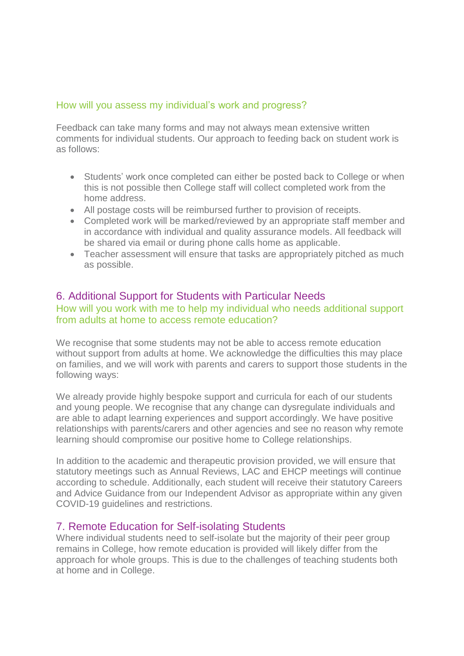#### How will you assess my individual's work and progress?

Feedback can take many forms and may not always mean extensive written comments for individual students. Our approach to feeding back on student work is as follows:

- Students' work once completed can either be posted back to College or when this is not possible then College staff will collect completed work from the home address.
- All postage costs will be reimbursed further to provision of receipts.
- Completed work will be marked/reviewed by an appropriate staff member and in accordance with individual and quality assurance models. All feedback will be shared via email or during phone calls home as applicable.
- Teacher assessment will ensure that tasks are appropriately pitched as much as possible.

#### 6. Additional Support for Students with Particular Needs

#### How will you work with me to help my individual who needs additional support from adults at home to access remote education?

We recognise that some students may not be able to access remote education without support from adults at home. We acknowledge the difficulties this may place on families, and we will work with parents and carers to support those students in the following ways:

We already provide highly bespoke support and curricula for each of our students and young people. We recognise that any change can dysregulate individuals and are able to adapt learning experiences and support accordingly. We have positive relationships with parents/carers and other agencies and see no reason why remote learning should compromise our positive home to College relationships.

In addition to the academic and therapeutic provision provided, we will ensure that statutory meetings such as Annual Reviews, LAC and EHCP meetings will continue according to schedule. Additionally, each student will receive their statutory Careers and Advice Guidance from our Independent Advisor as appropriate within any given COVID-19 guidelines and restrictions.

#### 7. Remote Education for Self-isolating Students

Where individual students need to self-isolate but the majority of their peer group remains in College, how remote education is provided will likely differ from the approach for whole groups. This is due to the challenges of teaching students both at home and in College.